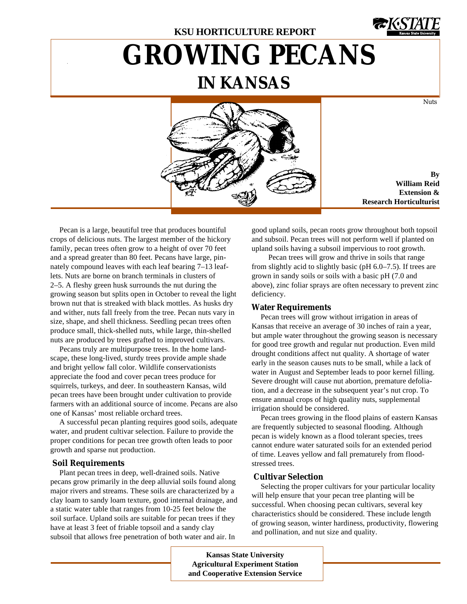

Nuts

# **GROWING PECANS IN KANSAS**



**By William Reid Extension & Research Horticulturist**

Pecan is a large, beautiful tree that produces bountiful crops of delicious nuts. The largest member of the hickory family, pecan trees often grow to a height of over 70 feet and a spread greater than 80 feet. Pecans have large, pinnately compound leaves with each leaf bearing 7–13 leaflets. Nuts are borne on branch terminals in clusters of 2–5. A fleshy green husk surrounds the nut during the growing season but splits open in October to reveal the light brown nut that is streaked with black mottles. As husks dry and wither, nuts fall freely from the tree. Pecan nuts vary in size, shape, and shell thickness. Seedling pecan trees often produce small, thick-shelled nuts, while large, thin-shelled nuts are produced by trees grafted to improved cultivars.

Pecans truly are multipurpose trees. In the home landscape, these long-lived, sturdy trees provide ample shade and bright yellow fall color. Wildlife conservationists appreciate the food and cover pecan trees produce for squirrels, turkeys, and deer. In southeastern Kansas, wild pecan trees have been brought under cultivation to provide farmers with an additional source of income. Pecans are also one of Kansas' most reliable orchard trees.

A successful pecan planting requires good soils, adequate water, and prudent cultivar selection. Failure to provide the proper conditions for pecan tree growth often leads to poor growth and sparse nut production.

# **Soil Requirements**

Plant pecan trees in deep, well-drained soils. Native pecans grow primarily in the deep alluvial soils found along major rivers and streams. These soils are characterized by a clay loam to sandy loam texture, good internal drainage, and a static water table that ranges from 10-25 feet below the soil surface. Upland soils are suitable for pecan trees if they have at least 3 feet of friable topsoil and a sandy clay subsoil that allows free penetration of both water and air. In

good upland soils, pecan roots grow throughout both topsoil and subsoil. Pecan trees will not perform well if planted on upland soils having a subsoil impervious to root growth.

Pecan trees will grow and thrive in soils that range from slightly acid to slightly basic (pH 6.0–7.5). If trees are grown in sandy soils or soils with a basic pH (7.0 and above), zinc foliar sprays are often necessary to prevent zinc deficiency.

# **Water Requirements**

Pecan trees will grow without irrigation in areas of Kansas that receive an average of 30 inches of rain a year, but ample water throughout the growing season is necessary for good tree growth and regular nut production. Even mild drought conditions affect nut quality. A shortage of water early in the season causes nuts to be small, while a lack of water in August and September leads to poor kernel filling. Severe drought will cause nut abortion, premature defoliation, and a decrease in the subsequent year's nut crop. To ensure annual crops of high quality nuts, supplemental irrigation should be considered.

Pecan trees growing in the flood plains of eastern Kansas are frequently subjected to seasonal flooding. Although pecan is widely known as a flood tolerant species, trees cannot endure water saturated soils for an extended period of time. Leaves yellow and fall prematurely from floodstressed trees.

## **Cultivar Selection**

Selecting the proper cultivars for your particular locality will help ensure that your pecan tree planting will be successful. When choosing pecan cultivars, several key characteristics should be considered. These include length of growing season, winter hardiness, productivity, flowering and pollination, and nut size and quality.

**Kansas State University Agricultural Experiment Station and Cooperative Extension Service**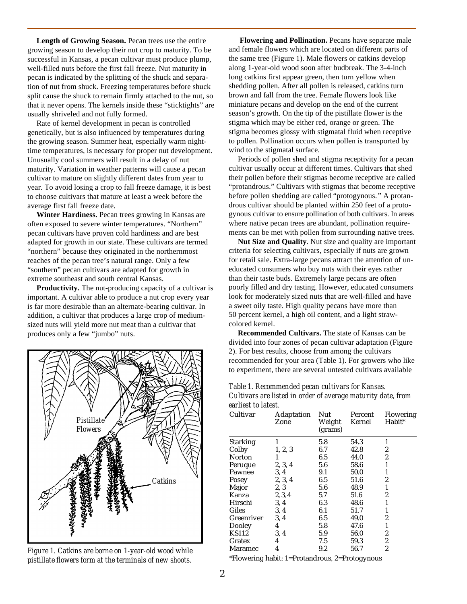**Length of Growing Season.** Pecan trees use the entire growing season to develop their nut crop to maturity. To be successful in Kansas, a pecan cultivar must produce plump, well-filled nuts before the first fall freeze. Nut maturity in pecan is indicated by the splitting of the shuck and separation of nut from shuck. Freezing temperatures before shuck split cause the shuck to remain firmly attached to the nut, so that it never opens. The kernels inside these "sticktights" are usually shriveled and not fully formed.

Rate of kernel development in pecan is controlled genetically, but is also influenced by temperatures during the growing season. Summer heat, especially warm nighttime temperatures, is necessary for proper nut development. Unusually cool summers will result in a delay of nut maturity. Variation in weather patterns will cause a pecan cultivar to mature on slightly different dates from year to year. To avoid losing a crop to fall freeze damage, it is best to choose cultivars that mature at least a week before the average first fall freeze date.

**Winter Hardiness.** Pecan trees growing in Kansas are often exposed to severe winter temperatures. "Northern" pecan cultivars have proven cold hardiness and are best adapted for growth in our state. These cultivars are termed "northern" because they originated in the northernmost reaches of the pecan tree's natural range. Only a few "southern" pecan cultivars are adapted for growth in extreme southeast and south central Kansas.

**Productivity.** The nut-producing capacity of a cultivar is important. A cultivar able to produce a nut crop every year is far more desirable than an alternate-bearing cultivar. In addition, a cultivar that produces a large crop of mediumsized nuts will yield more nut meat than a cultivar that produces only a few "jumbo" nuts.



*Figure 1. Catkins are borne on 1-year-old wood while pistillate flowers form at the terminals of new shoots.*

**Flowering and Pollination.** Pecans have separate male and female flowers which are located on different parts of the same tree (Figure 1). Male flowers or catkins develop along 1-year-old wood soon after budbreak. The 3-4-inch long catkins first appear green, then turn yellow when shedding pollen. After all pollen is released, catkins turn brown and fall from the tree. Female flowers look like miniature pecans and develop on the end of the current season's growth. On the tip of the pistillate flower is the stigma which may be either red, orange or green. The stigma becomes glossy with stigmatal fluid when receptive to pollen. Pollination occurs when pollen is transported by wind to the stigmatal surface.

Periods of pollen shed and stigma receptivity for a pecan cultivar usually occur at different times. Cultivars that shed their pollen before their stigmas become receptive are called "protandrous." Cultivars with stigmas that become receptive before pollen shedding are called "protogynous.*"* A protandrous cultivar should be planted within 250 feet of a protogynous cultivar to ensure pollination of both cultivars. In areas where native pecan trees are abundant, pollination requirements can be met with pollen from surrounding native trees.

**Nut Size and Quality**. Nut size and quality are important criteria for selecting cultivars, especially if nuts are grown for retail sale. Extra-large pecans attract the attention of uneducated consumers who buy nuts with their eyes rather than their taste buds. Extremely large pecans are often poorly filled and dry tasting. However, educated consumers look for moderately sized nuts that are well-filled and have a sweet oily taste. High quality pecans have more than 50 percent kernel, a high oil content, and a light strawcolored kernel.

**Recommended Cultivars.** The state of Kansas can be divided into four zones of pecan cultivar adaptation (Figure 2). For best results, choose from among the cultivars recommended for your area (Table 1). For growers who like to experiment, there are several untested cultivars available

*Table 1. Recommended pecan cultivars for Kansas. Cultivars are listed in order of average maturity date, from earliest to latest.*

| санны по наты.  |                           |                          |                   |                            |  |  |
|-----------------|---------------------------|--------------------------|-------------------|----------------------------|--|--|
| Cultivar        | <b>Adaptation</b><br>Zone | Nut<br>Weight<br>(grams) | Percent<br>Kernel | <b>Flowering</b><br>Habit* |  |  |
| <b>Starking</b> | 1                         | 5.8                      | 54.3              | 1                          |  |  |
| Colby           | 1, 2, 3                   | 6.7                      | 42.8              | $\boldsymbol{2}$           |  |  |
| <b>Norton</b>   | 1                         | 6.5                      | 44.0              | $\boldsymbol{2}$           |  |  |
| Peruque         | 2, 3, 4                   | 5.6                      | 58.6              | 1                          |  |  |
| Pawnee          | 3, 4                      | 9.1                      | 50.0              | 1                          |  |  |
| Posey           | 2, 3, 4                   | 6.5                      | 51.6              | 2                          |  |  |
| Major           | 2, 3                      | 5.6                      | 48.9              | 1                          |  |  |
| Kanza           | 2, 3, 4                   | 5.7                      | 51.6              | 2                          |  |  |
| Hirschi         | 3, 4                      | 6.3                      | 48.6              | 1                          |  |  |
| Giles           | 3, 4                      | 6.1                      | 51.7              | 1                          |  |  |
| Greenriver      | 3, 4                      | 6.5                      | 49.0              | $\boldsymbol{2}$           |  |  |
| Dooley          | 4                         | 5.8                      | 47.6              | 1                          |  |  |
| <b>KS112</b>    | 3, 4                      | 5.9                      | 56.0              | $\boldsymbol{2}$           |  |  |
| Gratex          | 4                         | 7.5                      | 59.3              | $\boldsymbol{2}$           |  |  |
| Maramec         | 4                         | 9.2                      | 56.7              | 2                          |  |  |

\*Flowering habit: 1=Protandrous, 2=Protogynous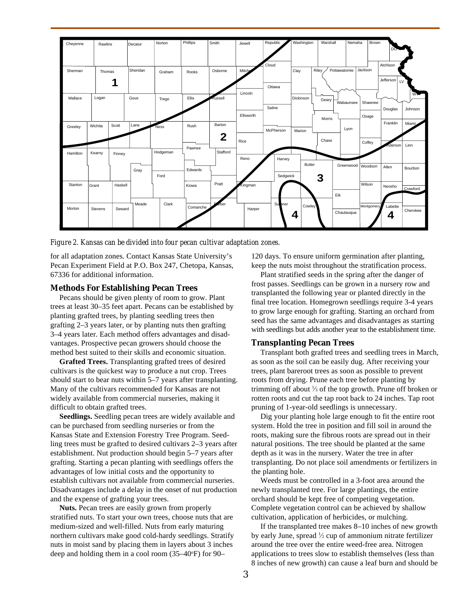

*Figure 2. Kansas can be divided into four pecan cultivar adaptation zones.*

for all adaptation zones. Contact Kansas State University's Pecan Experiment Field at P.O. Box 247, Chetopa, Kansas, 67336 for additional information.

## **Methods For Establishing Pecan Trees**

Pecans should be given plenty of room to grow. Plant trees at least 30–35 feet apart. Pecans can be established by planting grafted trees, by planting seedling trees then grafting 2–3 years later, or by planting nuts then grafting 3–4 years later. Each method offers advantages and disadvantages. Prospective pecan growers should choose the method best suited to their skills and economic situation.

**Grafted Trees.** Transplanting grafted trees of desired cultivars is the quickest way to produce a nut crop. Trees should start to bear nuts within 5–7 years after transplanting. Many of the cultivars recommended for Kansas are not widely available from commercial nurseries, making it difficult to obtain grafted trees.

**Seedlings.** Seedling pecan trees are widely available and can be purchased from seedling nurseries or from the Kansas State and Extension Forestry Tree Program. Seedling trees must be grafted to desired cultivars 2–3 years after establishment. Nut production should begin 5–7 years after grafting. Starting a pecan planting with seedlings offers the advantages of low initial costs and the opportunity to establish cultivars not available from commercial nurseries. Disadvantages include a delay in the onset of nut production and the expense of grafting your trees.

**Nuts.** Pecan trees are easily grown from properly stratified nuts. To start your own trees, choose nuts that are medium-sized and well-filled. Nuts from early maturing northern cultivars make good cold-hardy seedlings. Stratify nuts in moist sand by placing them in layers about 3 inches deep and holding them in a cool room  $(35-40°F)$  for 90-

120 days. To ensure uniform germination after planting, keep the nuts moist throughout the stratification process.

Plant stratified seeds in the spring after the danger of frost passes. Seedlings can be grown in a nursery row and transplanted the following year or planted directly in the final tree location. Homegrown seedlings require 3-4 years to grow large enough for grafting. Starting an orchard from seed has the same advantages and disadvantages as starting with seedlings but adds another year to the establishment time.

## **Transplanting Pecan Trees**

Transplant both grafted trees and seedling trees in March, as soon as the soil can be easily dug. After receiving your trees, plant bareroot trees as soon as possible to prevent roots from drying. Prune each tree before planting by trimming off about  $\frac{1}{3}$  of the top growth. Prune off broken or rotten roots and cut the tap root back to 24 inches. Tap root pruning of 1-year-old seedlings is unnecessary.

Dig your planting hole large enough to fit the entire root system. Hold the tree in position and fill soil in around the roots, making sure the fibrous roots are spread out in their natural positions. The tree should be planted at the same depth as it was in the nursery. Water the tree in after transplanting. Do not place soil amendments or fertilizers in the planting hole.

Weeds must be controlled in a 3-foot area around the newly transplanted tree. For large plantings, the entire orchard should be kept free of competing vegetation. Complete vegetation control can be achieved by shallow cultivation, application of herbicides, or mulching.

If the transplanted tree makes 8–10 inches of new growth by early June, spread 1 ⁄2 cup of ammonium nitrate fertilizer around the tree over the entire weed-free area. Nitrogen applications to trees slow to establish themselves (less than 8 inches of new growth) can cause a leaf burn and should be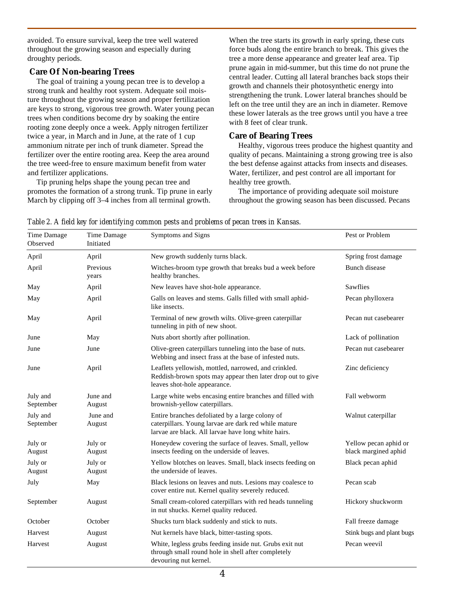avoided. To ensure survival, keep the tree well watered throughout the growing season and especially during droughty periods.

# **Care Of Non-bearing Trees**

The goal of training a young pecan tree is to develop a strong trunk and healthy root system. Adequate soil moisture throughout the growing season and proper fertilization are keys to strong, vigorous tree growth. Water young pecan trees when conditions become dry by soaking the entire rooting zone deeply once a week. Apply nitrogen fertilizer twice a year, in March and in June, at the rate of 1 cup ammonium nitrate per inch of trunk diameter. Spread the fertilizer over the entire rooting area. Keep the area around the tree weed-free to ensure maximum benefit from water and fertilizer applications.

Tip pruning helps shape the young pecan tree and promotes the formation of a strong trunk. Tip prune in early March by clipping off 3–4 inches from all terminal growth.

When the tree starts its growth in early spring, these cuts force buds along the entire branch to break. This gives the tree a more dense appearance and greater leaf area. Tip prune again in mid-summer, but this time do not prune the central leader. Cutting all lateral branches back stops their growth and channels their photosynthetic energy into strengthening the trunk. Lower lateral branches should be left on the tree until they are an inch in diameter. Remove these lower laterals as the tree grows until you have a tree with 8 feet of clear trunk.

# **Care of Bearing Trees**

Healthy, vigorous trees produce the highest quantity and quality of pecans. Maintaining a strong growing tree is also the best defense against attacks from insects and diseases. Water, fertilizer, and pest control are all important for healthy tree growth.

The importance of providing adequate soil moisture throughout the growing season has been discussed. Pecans

| Time Damage<br>Observed | Time Damage<br>Initiated | Symptoms and Signs                                                                                                                                             | Pest or Problem                               |  |
|-------------------------|--------------------------|----------------------------------------------------------------------------------------------------------------------------------------------------------------|-----------------------------------------------|--|
| April                   | April                    | New growth suddenly turns black.                                                                                                                               | Spring frost damage                           |  |
| April                   | Previous<br>years        | Witches-broom type growth that breaks bud a week before<br>healthy branches.                                                                                   | Bunch disease                                 |  |
| May                     | April                    | New leaves have shot-hole appearance.                                                                                                                          | Sawflies                                      |  |
| May                     | April                    | Galls on leaves and stems. Galls filled with small aphid-<br>like insects.                                                                                     | Pecan phylloxera                              |  |
| May                     | April                    | Terminal of new growth wilts. Olive-green caterpillar<br>tunneling in pith of new shoot.                                                                       | Pecan nut casebearer                          |  |
| June                    | May                      | Nuts abort shortly after pollination.                                                                                                                          | Lack of pollination                           |  |
| June                    | June                     | Olive-green caterpillars tunneling into the base of nuts.<br>Webbing and insect frass at the base of infested nuts.                                            | Pecan nut casebearer                          |  |
| June                    | April                    | Leaflets yellowish, mottled, narrowed, and crinkled.<br>Reddish-brown spots may appear then later drop out to give<br>leaves shot-hole appearance.             | Zinc deficiency                               |  |
| July and<br>September   | June and<br>August       | Large white webs encasing entire branches and filled with<br>brownish-yellow caterpillars.                                                                     | Fall webworm                                  |  |
| July and<br>September   | June and<br>August       | Entire branches defoliated by a large colony of<br>caterpillars. Young larvae are dark red while mature<br>larvae are black. All larvae have long white hairs. | Walnut caterpillar                            |  |
| July or<br>August       | July or<br>August        | Honeydew covering the surface of leaves. Small, yellow<br>insects feeding on the underside of leaves.                                                          | Yellow pecan aphid or<br>black margined aphid |  |
| July or<br>August       | July or<br>August        | Yellow blotches on leaves. Small, black insects feeding on<br>the underside of leaves.                                                                         | Black pecan aphid                             |  |
| July                    | May                      | Black lesions on leaves and nuts. Lesions may coalesce to<br>cover entire nut. Kernel quality severely reduced.                                                | Pecan scab                                    |  |
| September               | August                   | Small cream-colored caterpillars with red heads tunneling<br>in nut shucks. Kernel quality reduced.                                                            | Hickory shuckworm                             |  |
| October                 | October                  | Shucks turn black suddenly and stick to nuts.                                                                                                                  | Fall freeze damage                            |  |
| Harvest                 | August                   | Nut kernels have black, bitter-tasting spots.                                                                                                                  | Stink bugs and plant bugs                     |  |
| Harvest                 | August                   | White, legless grubs feeding inside nut. Grubs exit nut<br>through small round hole in shell after completely<br>devouring nut kernel.                         | Pecan weevil                                  |  |

*Table 2. A field key for identifying common pests and problems of pecan trees in Kansas.*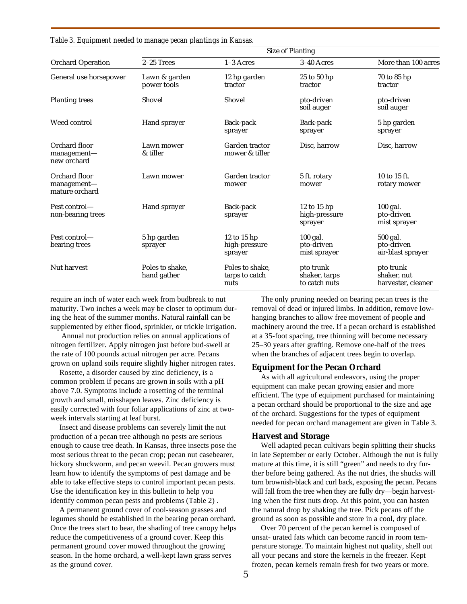| <b>Orchard Operation</b>                       | <b>Size of Planting</b>        |                                           |                                             |                                                |  |
|------------------------------------------------|--------------------------------|-------------------------------------------|---------------------------------------------|------------------------------------------------|--|
|                                                | 2-25 Trees                     | $1-3$ Acres                               | 3-40 Acres                                  | More than 100 acres                            |  |
| General use horsepower                         | Lawn & garden<br>power tools   | 12 hp garden<br>tractor                   | 25 to 50 hp<br>tractor                      | 70 to 85 hp<br>tractor                         |  |
| <b>Planting trees</b>                          | Shovel                         | Shovel                                    | pto-driven<br>soil auger                    | pto-driven<br>soil auger                       |  |
| Weed control                                   | Hand sprayer                   | Back-pack<br>sprayer                      | Back-pack<br>sprayer                        | 5 hp garden<br>sprayer                         |  |
| Orchard floor<br>management-<br>new orchard    | Lawn mower<br>& tiller         | Garden tractor<br>mower & tiller          | Disc, harrow                                | Disc, harrow                                   |  |
| Orchard floor<br>management-<br>mature orchard | Lawn mower                     | Garden tractor<br>mower                   | 5 ft. rotary<br>mower                       | 10 to 15 ft.<br>rotary mower                   |  |
| Pest control-<br>non-bearing trees             | Hand sprayer                   | Back-pack<br>sprayer                      | 12 to 15 hp<br>high-pressure<br>sprayer     | 100 gal.<br>pto-driven<br>mist sprayer         |  |
| Pest control—<br>bearing trees                 | 5 hp garden<br>sprayer         | 12 to 15 hp<br>high-pressure<br>sprayer   | 100 gal.<br>pto-driven<br>mist sprayer      | 500 gal.<br>pto-driven<br>air-blast sprayer    |  |
| Nut harvest                                    | Poles to shake.<br>hand gather | Poles to shake.<br>tarps to catch<br>nuts | pto trunk<br>shaker, tarps<br>to catch nuts | pto trunk<br>shaker, nut<br>harvester, cleaner |  |

*Table 3. Equipment needed to manage pecan plantings in Kansas.*

require an inch of water each week from budbreak to nut maturity. Two inches a week may be closer to optimum during the heat of the summer months. Natural rainfall can be supplemented by either flood, sprinkler, or trickle irrigation.

 Annual nut production relies on annual applications of nitrogen fertilizer. Apply nitrogen just before bud-swell at the rate of 100 pounds actual nitrogen per acre. Pecans grown on upland soils require slightly higher nitrogen rates.

Rosette, a disorder caused by zinc deficiency, is a common problem if pecans are grown in soils with a pH above 7.0. Symptoms include a rosetting of the terminal growth and small, misshapen leaves. Zinc deficiency is easily corrected with four foliar applications of zinc at twoweek intervals starting at leaf burst.

Insect and disease problems can severely limit the nut production of a pecan tree although no pests are serious enough to cause tree death. In Kansas, three insects pose the most serious threat to the pecan crop; pecan nut casebearer, hickory shuckworm, and pecan weevil. Pecan growers must learn how to identify the symptoms of pest damage and be able to take effective steps to control important pecan pests. Use the identification key in this bulletin to help you identify common pecan pests and problems (Table 2) .

A permanent ground cover of cool-season grasses and legumes should be established in the bearing pecan orchard. Once the trees start to bear, the shading of tree canopy helps reduce the competitiveness of a ground cover. Keep this permanent ground cover mowed throughout the growing season. In the home orchard, a well-kept lawn grass serves as the ground cover.

The only pruning needed on bearing pecan trees is the removal of dead or injured limbs. In addition, remove lowhanging branches to allow free movement of people and machinery around the tree. If a pecan orchard is established at a 35-foot spacing, tree thinning will become necessary 25–30 years after grafting. Remove one-half of the trees when the branches of adjacent trees begin to overlap.

## **Equipment for the Pecan Orchard**

As with all agricultural endeavors, using the proper equipment can make pecan growing easier and more efficient. The type of equipment purchased for maintaining a pecan orchard should be proportional to the size and age of the orchard. Suggestions for the types of equipment needed for pecan orchard management are given in Table 3.

#### **Harvest and Storage**

Well adapted pecan cultivars begin splitting their shucks in late September or early October. Although the nut is fully mature at this time, it is still "green" and needs to dry further before being gathered. As the nut dries, the shucks will turn brownish-black and curl back, exposing the pecan. Pecans will fall from the tree when they are fully dry—begin harvesting when the first nuts drop. At this point, you can hasten the natural drop by shaking the tree. Pick pecans off the ground as soon as possible and store in a cool, dry place.

Over 70 percent of the pecan kernel is composed of unsat- urated fats which can become rancid in room temperature storage. To maintain highest nut quality, shell out all your pecans and store the kernels in the freezer. Kept frozen, pecan kernels remain fresh for two years or more.